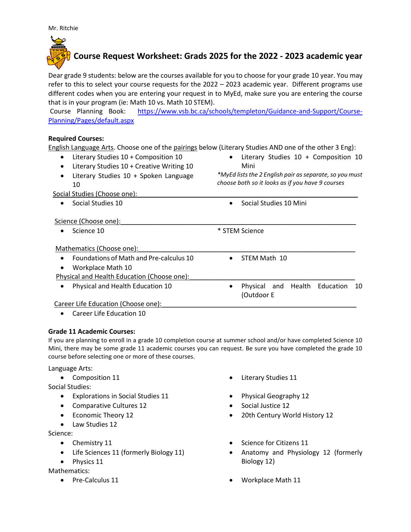

# **Course Request Worksheet: Grads 2025 for the 2022 - 2023 academic year**

Dear grade 9 students: below are the courses available for you to choose for your grade 10 year. You may refer to this to select your course requests for the 2022 – 2023 academic year. Different programs use different codes when you are entering your request in to MyEd, make sure you are entering the course that is in your program (ie: Math 10 vs. Math 10 STEM).

Course Planning Book: [https://www.vsb.bc.ca/schools/templeton/Guidance-and-Support/Course-](https://www.vsb.bc.ca/schools/templeton/Guidance-and-Support/Course-Planning/Pages/default.aspx)[Planning/Pages/default.aspx](https://www.vsb.bc.ca/schools/templeton/Guidance-and-Support/Course-Planning/Pages/default.aspx)

# **Required Courses:**

English Language Arts. Choose one of the pairings below (Literary Studies AND one of the other 3 Eng):

- Literary Studies 10 + Composition 10 • Literary Studies 10 + Creative Writing 10 • Literary Studies 10 + Spoken Language 10 • Literary Studies 10 + Composition 10 Mini *\*MyEd lists the 2 English pair asseparate, so you must choose both so it looks as if you have 9 courses*  Social Studies (Choose one): • Social Studies 10 • Social Studies 10 Mini Science (Choose one): • Science 10 **\*** STEM Science Mathematics (Choose one): • Foundations of Math and Pre-calculus 10 • Workplace Math 10 • STEM Math 10 Physical and Health Education (Choose one): • Physical and Health Education 10 • Physical and Health Education 10 (Outdoor E Career Life Education (Choose one):
	- Career Life Education 10

# **Grade 11 Academic Courses:**

If you are planning to enroll in a grade 10 completion course at summer school and/or have completed Science 10 Mini, there may be some grade 11 academic courses you can request. Be sure you have completed the grade 10 course before selecting one or more of these courses.

Language Arts:

Social Studies:

- Explorations in Social Studies 11
- Comparative Cultures 12
- Economic Theory 12
- Law Studies 12

Science:

- Chemistry 11
- Life Sciences 11 (formerly Biology 11)
- Physics 11

Mathematics:

- Composition 11 Literary Studies 11
	- Physical Geography 12
	- Social Justice 12
	- 20th Century World History 12
	- Science for Citizens 11
	- Anatomy and Physiology 12 (formerly Biology 12)
- Pre-Calculus 11 Workplace Math 11